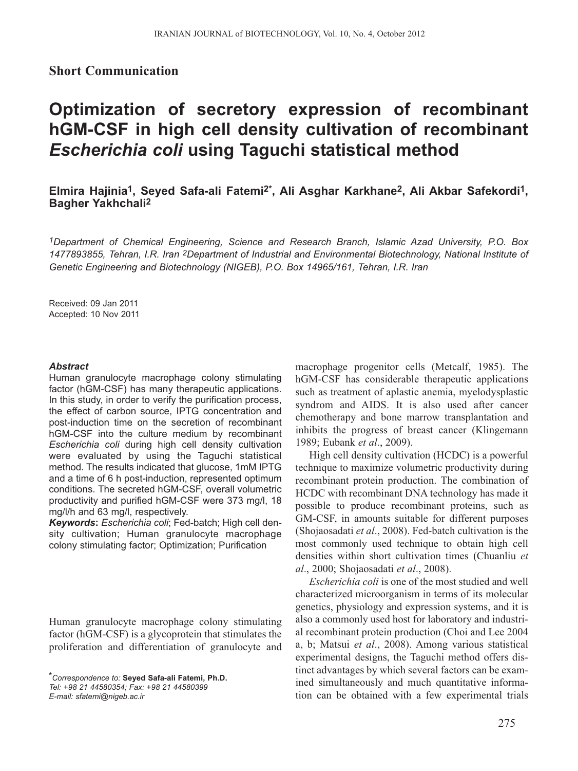## **Short Communication**

# **Optimization of secretory expression of recombinant hGM-CSF in high cell density cultivation of recombinant** *Escherichia coli* **using Taguchi statistical method**

# **Elmira Hajinia1, Seyed Safa-ali Fatemi2\*, Ali Asghar Karkhane2, Ali Akbar Safekordi1, Bagher Yakhchali2**

*1Department of Chemical Engineering, Science and Research Branch, Islamic Azad University, P.O. Box 1477893855, Tehran, I.R. Iran 2Department of Industrial and Environmental Biotechnology, National Institute of Genetic Engineering and Biotechnology (NIGEB), P.O. Box 14965/161, Tehran, I.R. Iran*

Received: 09 Jan 2011 Accepted: 10 Nov 2011

#### *Abstract*

Human granulocyte macrophage colony stimulating factor (hGM-CSF) has many therapeutic applications. In this study, in order to verify the purification process, the effect of carbon source, IPTG concentration and post-induction time on the secretion of recombinant hGM-CSF into the culture medium by recombinant *Escherichia coli* during high cell density cultivation were evaluated by using the Taguchi statistical method. The results indicated that glucose, 1mM IPTG and a time of 6 h post-induction, represented optimum conditions. The secreted hGM-CSF, overall volumetric productivity and purified hGM-CSF were 373 mg/l, 18 mg/l/h and 63 mg/l, respectively.

*Keywords***:** *Escherichia coli*; Fed-batch; High cell density cultivation; Human granulocyte macrophage colony stimulating factor; Optimization; Purification

Human granulocyte macrophage colony stimulating factor (hGM-CSF) is a glycoprotein that stimulates the proliferation and differentiation of granulocyte and

*E-mail: sfatemi@nigeb.ac.ir* 

macrophage progenitor cells (Metcalf, 1985). The hGM-CSF has considerable therapeutic applications such as treatment of aplastic anemia, myelodysplastic syndrom and AIDS. It is also used after cancer chemotherapy and bone marrow transplantation and inhibits the progress of breast cancer (Klingemann 1989; Eubank *et al*., 2009).

High cell density cultivation (HCDC) is a powerful technique to maximize volumetric productivity during recombinant protein production. The combination of HCDC with recombinant DNA technology has made it possible to produce recombinant proteins, such as GM-CSF, in amounts suitable for different purposes (Shojaosadati *et al*., 2008). Fed-batch cultivation is the most commonly used technique to obtain high cell densities within short cultivation times (Chuanliu *et al*., 2000; Shojaosadati *et al*., 2008).

*Escherichia coli* is one of the most studied and well characterized microorganism in terms of its molecular genetics, physiology and expression systems, and it is also a commonly used host for laboratory and industrial recombinant protein production (Choi and Lee 2004 a, b; Matsui *et al*., 2008). Among various statistical experimental designs, the Taguchi method offers distinct advantages by which several factors can be examined simultaneously and much quantitative information can be obtained with a few experimental trials

*<sup>\*</sup>Correspondence to:* **Seyed Safa-ali Fatemi, Ph.D.** *Tel: +98 21 44580354; Fax: +98 21 44580399*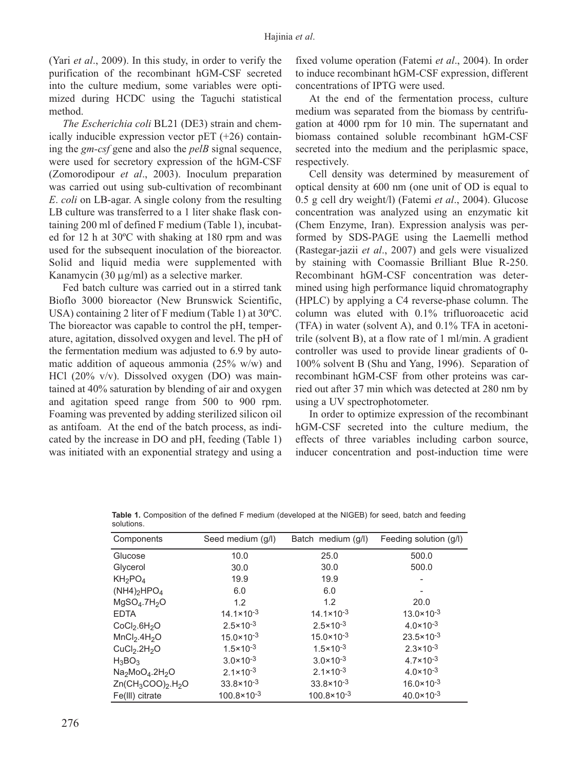(Yari *et al*., 2009). In this study, in order to verify the purification of the recombinant hGM-CSF secreted into the culture medium, some variables were optimized during HCDC using the Taguchi statistical method.

*The Escherichia coli* BL21 (DE3) strain and chemically inducible expression vector pET (+26) containing the *gm-csf* gene and also the *pelB* signal sequence, were used for secretory expression of the hGM-CSF (Zomorodipour *et al*., 2003). Inoculum preparation was carried out using sub-cultivation of recombinant *E*. *coli* on LB-agar. A single colony from the resulting LB culture was transferred to a 1 liter shake flask containing 200 ml of defined F medium (Table 1), incubated for 12 h at 30ºC with shaking at 180 rpm and was used for the subsequent inoculation of the bioreactor. Solid and liquid media were supplemented with Kanamycin (30 μg/ml) as a selective marker.

Fed batch culture was carried out in a stirred tank Bioflo 3000 bioreactor (New Brunswick Scientific, USA) containing 2 liter of F medium (Table 1) at 30ºC. The bioreactor was capable to control the pH, temperature, agitation, dissolved oxygen and level. The pH of the fermentation medium was adjusted to 6.9 by automatic addition of aqueous ammonia (25% w/w) and HCl (20% v/v). Dissolved oxygen (DO) was maintained at 40% saturation by blending of air and oxygen and agitation speed range from 500 to 900 rpm. Foaming was prevented by adding sterilized silicon oil as antifoam. At the end of the batch process, as indicated by the increase in DO and pH, feeding (Table 1) was initiated with an exponential strategy and using a fixed volume operation (Fatemi *et al*., 2004). In order to induce recombinant hGM-CSF expression, different concentrations of IPTG were used.

At the end of the fermentation process, culture medium was separated from the biomass by centrifugation at 4000 rpm for 10 min. The supernatant and biomass contained soluble recombinant hGM-CSF secreted into the medium and the periplasmic space, respectively.

Cell density was determined by measurement of optical density at 600 nm (one unit of OD is equal to 0.5 g cell dry weight/l) (Fatemi *et al*., 2004). Glucose concentration was analyzed using an enzymatic kit (Chem Enzyme, Iran). Expression analysis was performed by SDS-PAGE using the Laemelli method (Rastegar-jazii *et al*., 2007) and gels were visualized by staining with Coomassie Brilliant Blue R-250. Recombinant hGM-CSF concentration was determined using high performance liquid chromatography (HPLC) by applying a C4 reverse-phase column. The column was eluted with 0.1% trifluoroacetic acid (TFA) in water (solvent A), and 0.1% TFA in acetonitrile (solvent B), at a flow rate of 1 ml/min. A gradient controller was used to provide linear gradients of 0- 100% solvent B (Shu and Yang, 1996). Separation of recombinant hGM-CSF from other proteins was carried out after 37 min which was detected at 280 nm by using a UV spectrophotometer.

In order to optimize expression of the recombinant hGM-CSF secreted into the culture medium, the effects of three variables including carbon source, inducer concentration and post-induction time were

| Components                            | Seed medium (g/l)      | Batch medium (g/l)     | Feeding solution (g/l) |
|---------------------------------------|------------------------|------------------------|------------------------|
| Glucose                               | 10.0                   | 25.0                   | 500.0                  |
| Glycerol                              | 30.0                   | 30.0                   | 500.0                  |
| $KH_2PO_4$                            | 19.9                   | 19.9                   |                        |
| $(NH4)$ <sub>2</sub> HPO <sub>4</sub> | 6.0                    | 6.0                    |                        |
| MgSO <sub>4</sub> .7H <sub>2</sub> O  | 1.2                    | 1.2                    | 20.0                   |
| <b>EDTA</b>                           | $14.1 \times 10^{-3}$  | $14.1 \times 10^{-3}$  | $13.0 \times 10^{-3}$  |
| CoCl <sub>2</sub> .6H <sub>2</sub> O  | $2.5 \times 10^{-3}$   | $2.5 \times 10^{-3}$   | $4.0 \times 10^{-3}$   |
| MnCl <sub>2</sub> .4H <sub>2</sub> O  | $15.0 \times 10^{-3}$  | $15.0 \times 10^{-3}$  | $23.5 \times 10^{-3}$  |
| CuCl <sub>2</sub> .2H <sub>2</sub> O  | $1.5 \times 10^{-3}$   | $1.5 \times 10^{-3}$   | $2.3 \times 10^{-3}$   |
| $H_3BO_3$                             | $3.0 \times 10^{-3}$   | $3.0 \times 10^{-3}$   | $4.7 \times 10^{-3}$   |
| $Na2MoO4.2H2O$                        | $2.1 \times 10^{-3}$   | $2.1 \times 10^{-3}$   | $4.0 \times 10^{-3}$   |
| $Zn(CH_3COO)_2.H_2O$                  | $33.8 \times 10^{-3}$  | $33.8 \times 10^{-3}$  | $16.0 \times 10^{-3}$  |
| Fe(III) citrate                       | $100.8 \times 10^{-3}$ | $100.8 \times 10^{-3}$ | $40.0 \times 10^{-3}$  |

**Table 1.** Composition of the defined F medium (developed at the NIGEB) for seed, batch and feeding solutions.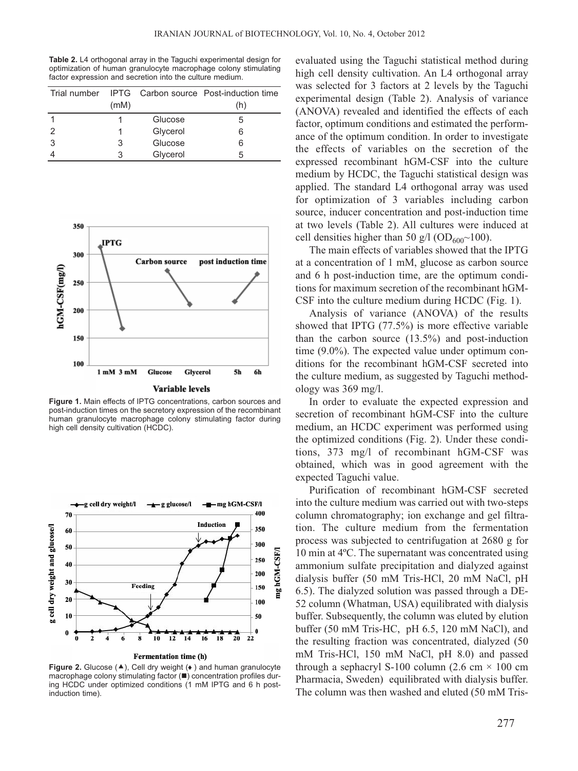**Table 2.** L4 orthogonal array in the Taguchi experimental design for optimization of human granulocyte macrophage colony stimulating factor expression and secretion into the culture medium.

|   |      |          | Trial number IPTG Carbon source Post-induction time |
|---|------|----------|-----------------------------------------------------|
|   | (mM) |          | (h)                                                 |
|   |      | Glucose  | 5                                                   |
| 2 |      | Glycerol | 6                                                   |
| 3 | 3    | Glucose  | 6                                                   |
|   |      | Glycerol | 5                                                   |



**Figure 1.** Main effects of IPTG concentrations, carbon sources and post-induction times on the secretory expression of the recombinant human granulocyte macrophage colony stimulating factor during high cell density cultivation (HCDC).



**Figure 2.** Glucose (▲), Cell dry weight (◆) and human granulocyte macrophage colony stimulating factor ( $\blacksquare$ ) concentration profiles during HCDC under optimized conditions (1 mM IPTG and 6 h postinduction time).

evaluated using the Taguchi statistical method during high cell density cultivation. An L4 orthogonal array was selected for 3 factors at 2 levels by the Taguchi experimental design (Table 2). Analysis of variance (ANOVA) revealed and identified the effects of each factor, optimum conditions and estimated the performance of the optimum condition. In order to investigate the effects of variables on the secretion of the expressed recombinant hGM-CSF into the culture medium by HCDC, the Taguchi statistical design was applied. The standard L4 orthogonal array was used for optimization of 3 variables including carbon source, inducer concentration and post-induction time at two levels (Table 2). All cultures were induced at cell densities higher than 50 g/l (OD<sub>600</sub> $\sim$ 100).

The main effects of variables showed that the IPTG at a concentration of 1 mM, glucose as carbon source and 6 h post-induction time, are the optimum conditions for maximum secretion of the recombinant hGM-CSF into the culture medium during HCDC (Fig. 1).

Analysis of variance (ANOVA) of the results showed that IPTG (77.5%) is more effective variable than the carbon source (13.5%) and post-induction time (9.0%). The expected value under optimum conditions for the recombinant hGM-CSF secreted into the culture medium, as suggested by Taguchi methodology was 369 mg/l.

In order to evaluate the expected expression and secretion of recombinant hGM-CSF into the culture medium, an HCDC experiment was performed using the optimized conditions (Fig. 2). Under these conditions, 373 mg/l of recombinant hGM-CSF was obtained, which was in good agreement with the expected Taguchi value.

Purification of recombinant hGM-CSF secreted into the culture medium was carried out with two-steps column chromatography; ion exchange and gel filtration. The culture medium from the fermentation process was subjected to centrifugation at 2680 g for 10 min at 4ºC. The supernatant was concentrated using ammonium sulfate precipitation and dialyzed against dialysis buffer (50 mM Tris-HCl, 20 mM NaCl, pH 6.5). The dialyzed solution was passed through a DE-52 column (Whatman, USA) equilibrated with dialysis buffer. Subsequently, the column was eluted by elution buffer (50 mM Tris-HC, pH 6.5, 120 mM NaCl), and the resulting fraction was concentrated, dialyzed (50 mM Tris-HCl, 150 mM NaCl, pH 8.0) and passed through a sephacryl S-100 column (2.6 cm  $\times$  100 cm Pharmacia, Sweden) equilibrated with dialysis buffer. The column was then washed and eluted (50 mM Tris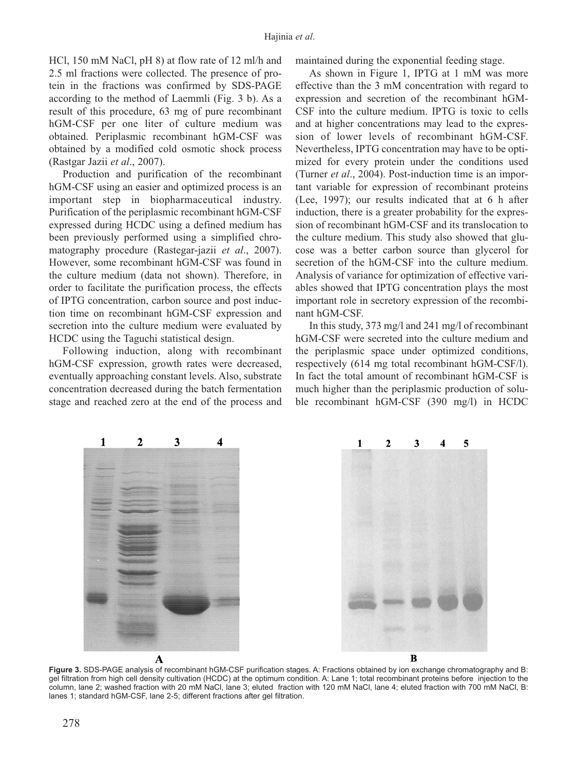HCl, 150 mM NaCl, pH 8) at flow rate of 12 ml/h and 2.5 ml fractions were collected. The presence of protein in the fractions was confirmed by SDS-PAGE according to the method of Laemmli (Fig. 3 b). As a result of this procedure, 63 mg of pure recombinant hGM-CSF per one liter of culture medium was obtained. Periplasmic recombinant hGM-CSF was obtained by a modified cold osmotic shock process (Rastgar Jazii *et al*., 2007).

Production and purification of the recombinant hGM-CSF using an easier and optimized process is an important step in biopharmaceutical industry. Purification of the periplasmic recombinant hGM-CSF expressed during HCDC using a defined medium has been previously performed using a simplified chromatography procedure (Rastegar-jazii *et al*., 2007). However, some recombinant hGM-CSF was found in the culture medium (data not shown). Therefore, in order to facilitate the purification process, the effects of IPTG concentration, carbon source and post induction time on recombinant hGM-CSF expression and secretion into the culture medium were evaluated by HCDC using the Taguchi statistical design.

Following induction, along with recombinant hGM-CSF expression, growth rates were decreased, eventually approaching constant levels. Also, substrate concentration decreased during the batch fermentation stage and reached zero at the end of the process and maintained during the exponential feeding stage.

As shown in Figure 1, IPTG at 1 mM was more effective than the 3 mM concentration with regard to expression and secretion of the recombinant hGM-CSF into the culture medium. IPTG is toxic to cells and at higher concentrations may lead to the expression of lower levels of recombinant hGM-CSF. Nevertheless, IPTG concentration may have to be optimized for every protein under the conditions used (Turner *et al*., 2004). Post-induction time is an important variable for expression of recombinant proteins (Lee, 1997); our results indicated that at 6 h after induction, there is a greater probability for the expression of recombinant hGM-CSF and its translocation to the culture medium. This study also showed that glucose was a better carbon source than glycerol for secretion of the hGM-CSF into the culture medium. Analysis of variance for optimization of effective variables showed that IPTG concentration plays the most important role in secretory expression of the recombinant hGM-CSF.

In this study, 373 mg/l and 241 mg/l of recombinant hGM-CSF were secreted into the culture medium and the periplasmic space under optimized conditions, respectively (614 mg total recombinant hGM-CSF/l). In fact the total amount of recombinant hGM-CSF is much higher than the periplasmic production of soluble recombinant hGM-CSF (390 mg/l) in HCDC



**Figure 3.** SDS-PAGE analysis of recombinant hGM-CSF purification stages. A: Fractions obtained by ion exchange chromatography and B: gel filtration from high cell density cultivation (HCDC) at the optimum condition. A: Lane 1; total recombinant proteins before injection to the column, lane 2; washed fraction with 20 mM NaCl, lane 3; eluted fraction with 120 mM NaCl, lane 4; eluted fraction with 700 mM NaCl, B: lanes 1; standard hGM-CSF, lane 2-5; different fractions after gel filtration.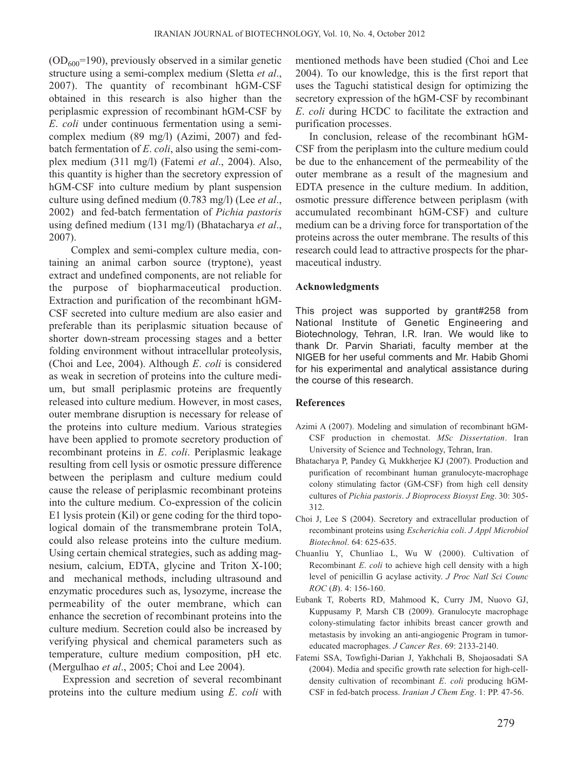$(OD<sub>600</sub>=190)$ , previously observed in a similar genetic structure using a semi-complex medium (Sletta *et al*., 2007). The quantity of recombinant hGM-CSF obtained in this research is also higher than the periplasmic expression of recombinant hGM-CSF by *E*. *coli* under continuous fermentation using a semicomplex medium (89 mg/l) (Azimi, 2007) and fedbatch fermentation of *E*. *coli*, also using the semi-complex medium (311 mg/l) (Fatemi *et al*., 2004). Also, this quantity is higher than the secretory expression of hGM-CSF into culture medium by plant suspension culture using defined medium (0.783 mg/l) (Lee *et al*., 2002) and fed-batch fermentation of *Pichia pastoris* using defined medium (131 mg/l) (Bhatacharya *et al*., 2007).

Complex and semi-complex culture media, containing an animal carbon source (tryptone), yeast extract and undefined components, are not reliable for the purpose of biopharmaceutical production. Extraction and purification of the recombinant hGM-CSF secreted into culture medium are also easier and preferable than its periplasmic situation because of shorter down-stream processing stages and a better folding environment without intracellular proteolysis, (Choi and Lee, 2004). Although *E*. *coli* is considered as weak in secretion of proteins into the culture medium, but small periplasmic proteins are frequently released into culture medium. However, in most cases, outer membrane disruption is necessary for release of the proteins into culture medium. Various strategies have been applied to promote secretory production of recombinant proteins in *E*. *coli*. Periplasmic leakage resulting from cell lysis or osmotic pressure difference between the periplasm and culture medium could cause the release of periplasmic recombinant proteins into the culture medium. Co-expression of the colicin E1 lysis protein (Kil) or gene coding for the third topological domain of the transmembrane protein TolA, could also release proteins into the culture medium. Using certain chemical strategies, such as adding magnesium, calcium, EDTA, glycine and Triton X-100; and mechanical methods, including ultrasound and enzymatic procedures such as, lysozyme, increase the permeability of the outer membrane, which can enhance the secretion of recombinant proteins into the culture medium. Secretion could also be increased by verifying physical and chemical parameters such as temperature, culture medium composition, pH etc. (Mergulhao *et al*., 2005; Choi and Lee 2004).

Expression and secretion of several recombinant proteins into the culture medium using *E*. *coli* with mentioned methods have been studied (Choi and Lee 2004). To our knowledge, this is the first report that uses the Taguchi statistical design for optimizing the secretory expression of the hGM-CSF by recombinant *E*. *coli* during HCDC to facilitate the extraction and purification processes.

In conclusion, release of the recombinant hGM-CSF from the periplasm into the culture medium could be due to the enhancement of the permeability of the outer membrane as a result of the magnesium and EDTA presence in the culture medium. In addition, osmotic pressure difference between periplasm (with accumulated recombinant hGM-CSF) and culture medium can be a driving force for transportation of the proteins across the outer membrane. The results of this research could lead to attractive prospects for the pharmaceutical industry.

## **Acknowledgments**

This project was supported by grant#258 from National Institute of Genetic Engineering and Biotechnology, Tehran, I.R. Iran. We would like to thank Dr. Parvin Shariati, faculty member at the NIGEB for her useful comments and Mr. Habib Ghomi for his experimental and analytical assistance during the course of this research.

### **References**

- Azimi A (2007). Modeling and simulation of recombinant hGM-CSF production in chemostat. *MSc Dissertation*. Iran University of Science and Technology, Tehran, Iran.
- Bhatacharya P, Pandey G, Mukkherjee KJ (2007). Production and purification of recombinant human granulocyte-macrophage colony stimulating factor (GM-CSF) from high cell density cultures of *Pichia pastoris*. *J Bioprocess Biosyst Eng*. 30: 305- 312.
- Choi J, Lee S (2004). Secretory and extracellular production of recombinant proteins using *Escherichia coli*. *J Appl Microbiol Biotechnol*. 64: 625-635.
- Chuanliu Y, Chunliao L, Wu W (2000). Cultivation of Recombinant *E*. *coli* to achieve high cell density with a high level of penicillin G acylase activity. *J Proc Natl Sci Counc ROC* (*B*). 4: 156-160.
- Eubank T, Roberts RD, Mahmood K, Curry JM, Nuovo GJ, Kuppusamy P, Marsh CB (2009). Granulocyte macrophage colony-stimulating factor inhibits breast cancer growth and metastasis by invoking an anti-angiogenic Program in tumoreducated macrophages. *J Cancer Res*. 69: 2133-2140.
- Fatemi SSA, Towfighi-Darian J, Yakhchali B, Shojaosadati SA (2004). Media and specific growth rate selection for high-celldensity cultivation of recombinant *E*. *coli* producing hGM-CSF in fed-batch process. *Iranian J Chem Eng*. 1: PP. 47-56.